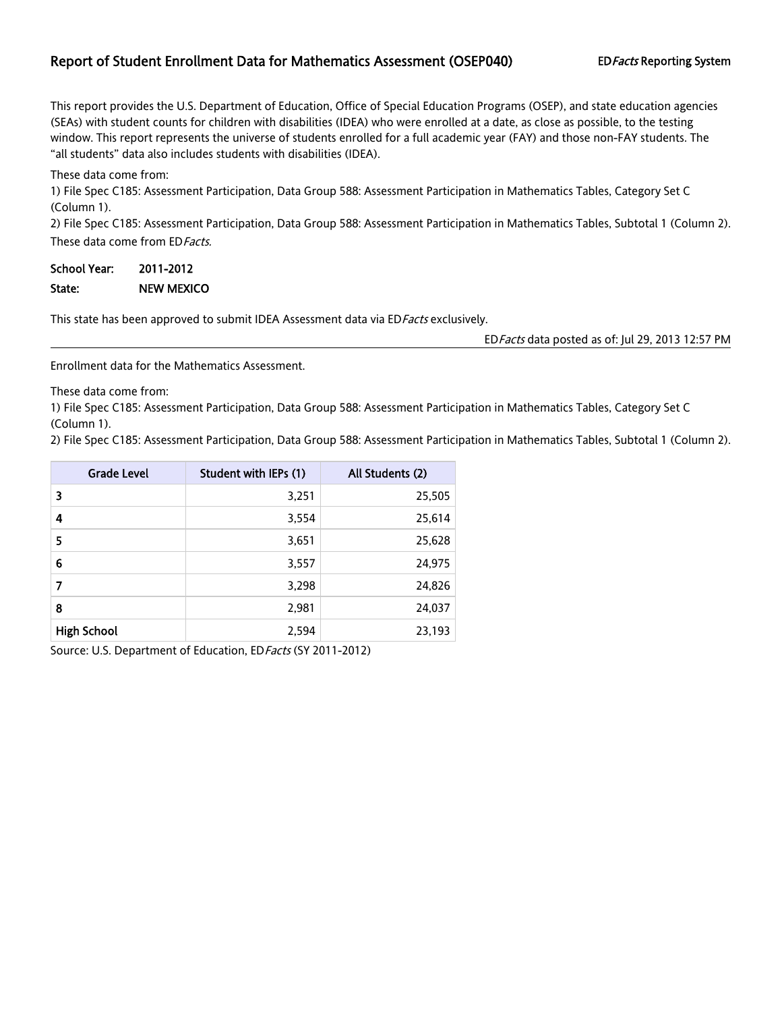## Report of Student Enrollment Data for Mathematics Assessment (OSEP040) EDFacts Reporting System

This report provides the U.S. Department of Education, Office of Special Education Programs (OSEP), and state education agencies (SEAs) with student counts for children with disabilities (IDEA) who were enrolled at a date, as close as possible, to the testing window. This report represents the universe of students enrolled for a full academic year (FAY) and those non-FAY students. The "all students" data also includes students with disabilities (IDEA).

These data come from:

1) File Spec C185: Assessment Participation, Data Group 588: Assessment Participation in Mathematics Tables, Category Set C (Column 1).

2) File Spec C185: Assessment Participation, Data Group 588: Assessment Participation in Mathematics Tables, Subtotal 1 (Column 2). These data come from ED Facts.

School Year: 2011-2012 State: NEW MEXICO

This state has been approved to submit IDEA Assessment data via ED Facts exclusively.

EDFacts data posted as of: Jul 29, 2013 12:57 PM

Enrollment data for the Mathematics Assessment.

These data come from:

1) File Spec C185: Assessment Participation, Data Group 588: Assessment Participation in Mathematics Tables, Category Set C (Column 1).

2) File Spec C185: Assessment Participation, Data Group 588: Assessment Participation in Mathematics Tables, Subtotal 1 (Column 2).

| <b>Grade Level</b> | Student with IEPs (1) | All Students (2) |
|--------------------|-----------------------|------------------|
| 3                  | 3,251                 | 25,505           |
| 4                  | 3,554                 | 25,614           |
| 5                  | 3,651                 | 25,628           |
| 6                  | 3,557                 | 24,975           |
| 7                  | 3,298                 | 24,826           |
| 8                  | 2,981                 | 24,037           |
| <b>High School</b> | 2,594                 | 23,193           |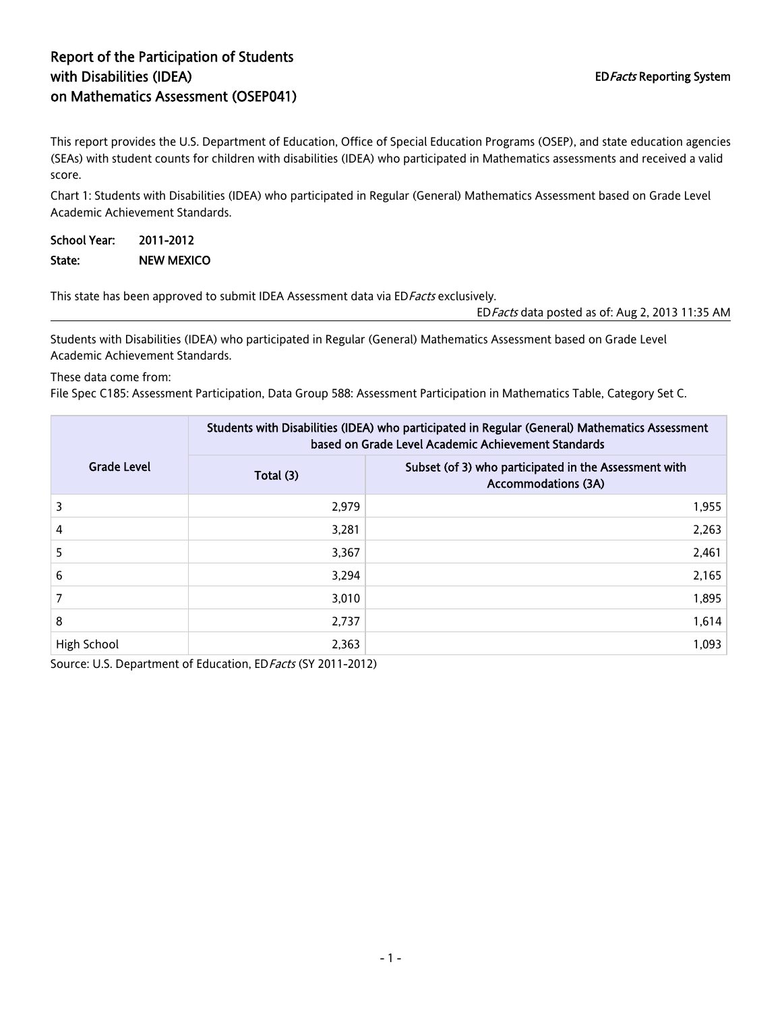## Report of the Participation of Students with Disabilities (IDEA) on Mathematics Assessment (OSEP041)

This report provides the U.S. Department of Education, Office of Special Education Programs (OSEP), and state education agencies (SEAs) with student counts for children with disabilities (IDEA) who participated in Mathematics assessments and received a valid score.

Chart 1: Students with Disabilities (IDEA) who participated in Regular (General) Mathematics Assessment based on Grade Level Academic Achievement Standards.

| School Year: | 2011-2012         |
|--------------|-------------------|
| State:       | <b>NEW MEXICO</b> |

This state has been approved to submit IDEA Assessment data via ED Facts exclusively.

EDFacts data posted as of: Aug 2, 2013 11:35 AM

Students with Disabilities (IDEA) who participated in Regular (General) Mathematics Assessment based on Grade Level Academic Achievement Standards.

#### These data come from:

File Spec C185: Assessment Participation, Data Group 588: Assessment Participation in Mathematics Table, Category Set C.

|                    |           | Students with Disabilities (IDEA) who participated in Regular (General) Mathematics Assessment<br>based on Grade Level Academic Achievement Standards |
|--------------------|-----------|-------------------------------------------------------------------------------------------------------------------------------------------------------|
| <b>Grade Level</b> | Total (3) | Subset (of 3) who participated in the Assessment with<br><b>Accommodations (3A)</b>                                                                   |
| 3                  | 2.979     | 1,955                                                                                                                                                 |
| 4                  | 3,281     | 2,263                                                                                                                                                 |
| 5                  | 3,367     | 2,461                                                                                                                                                 |
| 6                  | 3,294     | 2,165                                                                                                                                                 |
|                    | 3,010     | 1,895                                                                                                                                                 |
| 8                  | 2,737     | 1,614                                                                                                                                                 |
| High School        | 2,363     | 1,093                                                                                                                                                 |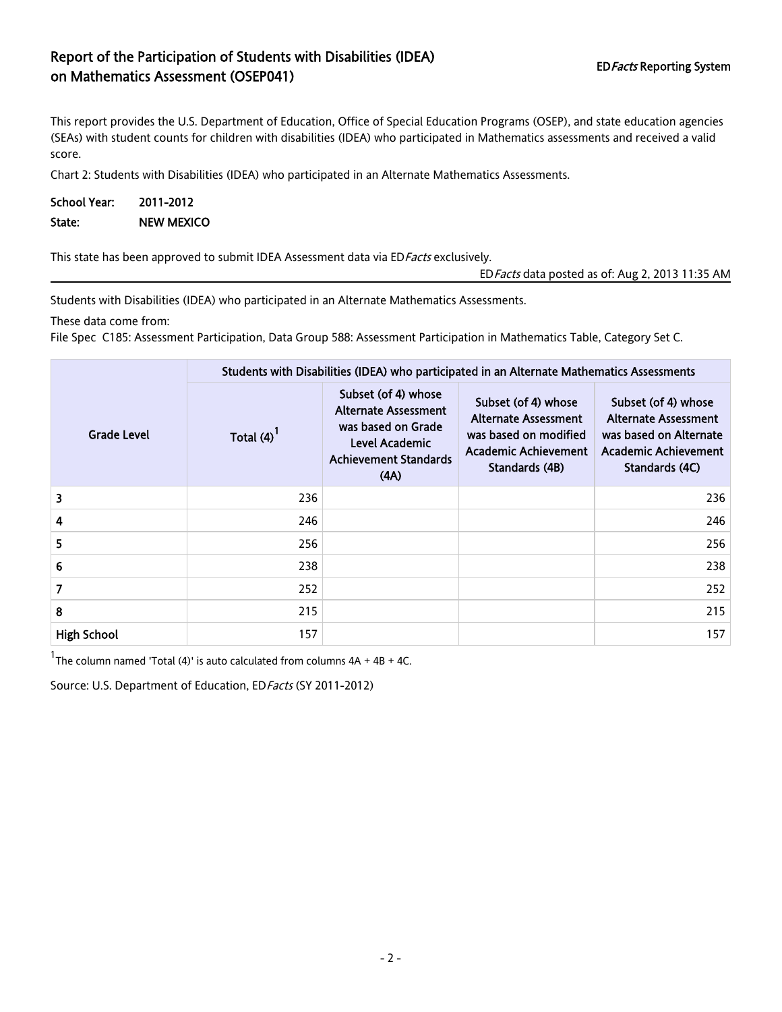## Report of the Participation of Students with Disabilities (IDEA) on Mathematics Assessment (OSEP041) and Mathematics Assessment (OSEP041)

This report provides the U.S. Department of Education, Office of Special Education Programs (OSEP), and state education agencies (SEAs) with student counts for children with disabilities (IDEA) who participated in Mathematics assessments and received a valid score.

Chart 2: Students with Disabilities (IDEA) who participated in an Alternate Mathematics Assessments.

School Year: 2011-2012 State: NEW MEXICO

This state has been approved to submit IDEA Assessment data via ED Facts exclusively.

EDFacts data posted as of: Aug 2, 2013 11:35 AM

Students with Disabilities (IDEA) who participated in an Alternate Mathematics Assessments.

These data come from:

File Spec C185: Assessment Participation, Data Group 588: Assessment Participation in Mathematics Table, Category Set C.

|                    | Students with Disabilities (IDEA) who participated in an Alternate Mathematics Assessments |                                                                                                                                    |                                                                                                                              |                                                                                                                               |  |  |  |  |
|--------------------|--------------------------------------------------------------------------------------------|------------------------------------------------------------------------------------------------------------------------------------|------------------------------------------------------------------------------------------------------------------------------|-------------------------------------------------------------------------------------------------------------------------------|--|--|--|--|
| <b>Grade Level</b> | Total $(4)^{1}$                                                                            | Subset (of 4) whose<br><b>Alternate Assessment</b><br>was based on Grade<br>Level Academic<br><b>Achievement Standards</b><br>(AA) | Subset (of 4) whose<br><b>Alternate Assessment</b><br>was based on modified<br><b>Academic Achievement</b><br>Standards (4B) | Subset (of 4) whose<br><b>Alternate Assessment</b><br>was based on Alternate<br><b>Academic Achievement</b><br>Standards (4C) |  |  |  |  |
| 3                  | 236                                                                                        |                                                                                                                                    |                                                                                                                              | 236                                                                                                                           |  |  |  |  |
| 4                  | 246                                                                                        |                                                                                                                                    |                                                                                                                              | 246                                                                                                                           |  |  |  |  |
| 5                  | 256                                                                                        |                                                                                                                                    |                                                                                                                              | 256                                                                                                                           |  |  |  |  |
| 6                  | 238                                                                                        |                                                                                                                                    |                                                                                                                              | 238                                                                                                                           |  |  |  |  |
| 7                  | 252                                                                                        |                                                                                                                                    |                                                                                                                              | 252                                                                                                                           |  |  |  |  |
| 8                  | 215                                                                                        |                                                                                                                                    |                                                                                                                              | 215                                                                                                                           |  |  |  |  |
| <b>High School</b> | 157                                                                                        |                                                                                                                                    |                                                                                                                              | 157                                                                                                                           |  |  |  |  |

<sup>1</sup>The column named 'Total (4)' is auto calculated from columns  $4A + 4B + 4C$ .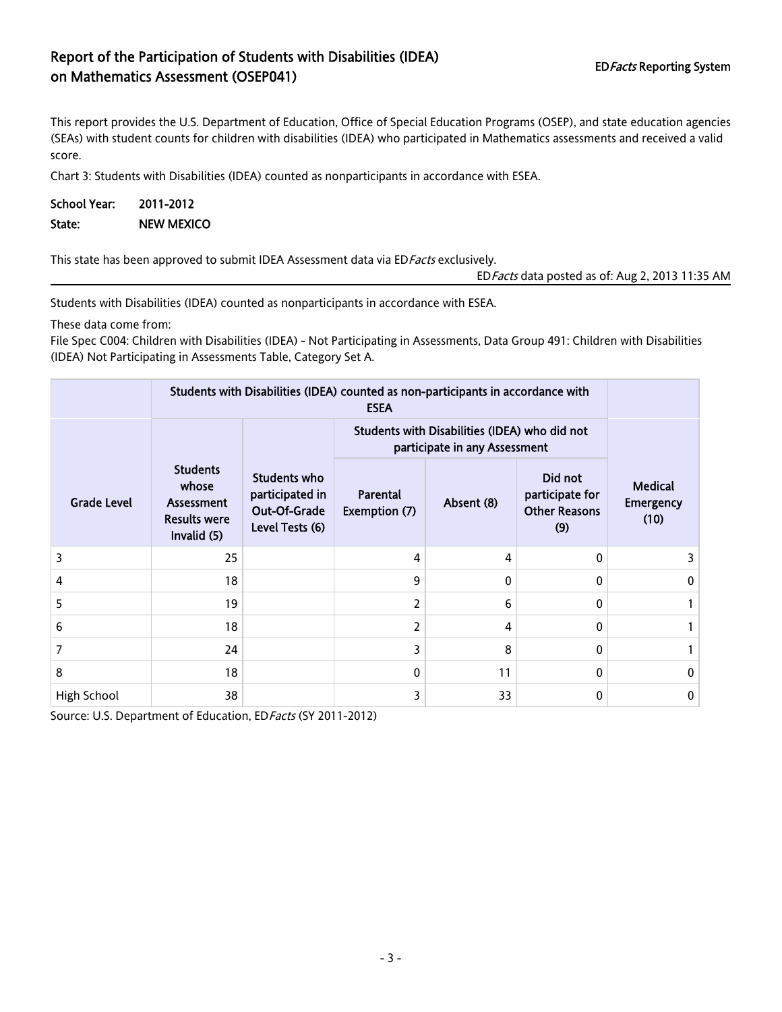## Report of the Participation of Students with Disabilities (IDEA) on Mathematics Assessment (OSEP041)<br>The Mathematics Assessment (OSEP041)

This report provides the U.S. Department of Education, Office of Special Education Programs (OSEP), and state education agencies (SEAs) with student counts for children with disabilities (IDEA) who participated in Mathematics assessments and received a valid score.

Chart 3: Students with Disabilities (IDEA) counted as nonparticipants in accordance with ESEA.

School Year: 2011-2012 State: NEW MEXICO

This state has been approved to submit IDEA Assessment data via ED Facts exclusively.

EDFacts data posted as of: Aug 2, 2013 11:35 AM

Students with Disabilities (IDEA) counted as nonparticipants in accordance with ESEA.

These data come from:

File Spec C004: Children with Disabilities (IDEA) - Not Participating in Assessments, Data Group 491: Children with Disabilities (IDEA) Not Participating in Assessments Table, Category Set A.

|                    | Students with Disabilities (IDEA) counted as non-participants in accordance with |                                                                    |                                                                                |            |                                                           |                                            |
|--------------------|----------------------------------------------------------------------------------|--------------------------------------------------------------------|--------------------------------------------------------------------------------|------------|-----------------------------------------------------------|--------------------------------------------|
|                    |                                                                                  |                                                                    | Students with Disabilities (IDEA) who did not<br>participate in any Assessment |            |                                                           |                                            |
| <b>Grade Level</b> | <b>Students</b><br>whose<br>Assessment<br><b>Results were</b><br>Invalid (5)     | Students who<br>participated in<br>Out-Of-Grade<br>Level Tests (6) | Parental<br>Exemption (7)                                                      | Absent (8) | Did not<br>participate for<br><b>Other Reasons</b><br>(9) | <b>Medical</b><br><b>Emergency</b><br>(10) |
| 3                  | 25                                                                               |                                                                    | 4                                                                              | 4          | 0                                                         |                                            |
| 4                  | 18                                                                               |                                                                    | 9                                                                              | $\Omega$   | 0                                                         | $\Omega$                                   |
| 5                  | 19                                                                               |                                                                    | 2                                                                              | 6          | $\Omega$                                                  |                                            |
| 6                  | 18                                                                               |                                                                    | 2                                                                              | 4          | $\Omega$                                                  |                                            |
| 7                  | 24                                                                               |                                                                    | 3                                                                              | 8          | 0                                                         |                                            |
| 8                  | 18                                                                               |                                                                    | 0                                                                              | 11         | 0                                                         | $\bf{0}$                                   |
| High School        | 38                                                                               |                                                                    | 3                                                                              | 33         | 0                                                         | 0                                          |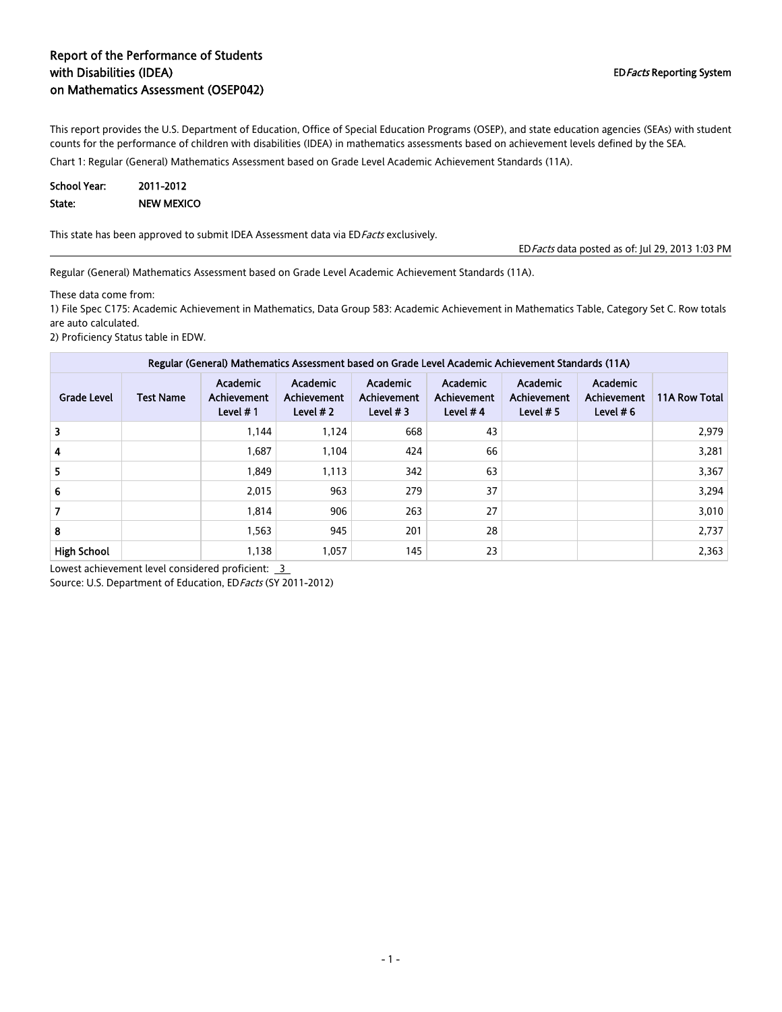#### Report of the Performance of Students with Disabilities (IDEA) on Mathematics Assessment (OSEP042)

This report provides the U.S. Department of Education, Office of Special Education Programs (OSEP), and state education agencies (SEAs) with student counts for the performance of children with disabilities (IDEA) in mathematics assessments based on achievement levels defined by the SEA.

Chart 1: Regular (General) Mathematics Assessment based on Grade Level Academic Achievement Standards (11A).

| School Year: | 2011-2012         |
|--------------|-------------------|
| State:       | <b>NEW MEXICO</b> |

This state has been approved to submit IDEA Assessment data via ED Facts exclusively.

EDFacts data posted as of: Jul 29, 2013 1:03 PM

Regular (General) Mathematics Assessment based on Grade Level Academic Achievement Standards (11A).

These data come from:

1) File Spec C175: Academic Achievement in Mathematics, Data Group 583: Academic Achievement in Mathematics Table, Category Set C. Row totals are auto calculated.

2) Proficiency Status table in EDW.

| Regular (General) Mathematics Assessment based on Grade Level Academic Achievement Standards (11A) |                  |                                            |                                                     |                                                     |                                              |                                               |                                               |               |
|----------------------------------------------------------------------------------------------------|------------------|--------------------------------------------|-----------------------------------------------------|-----------------------------------------------------|----------------------------------------------|-----------------------------------------------|-----------------------------------------------|---------------|
| <b>Grade Level</b>                                                                                 | <b>Test Name</b> | Academic<br><b>Achievement</b><br>Level #1 | <b>Academic</b><br><b>Achievement</b><br>Level $#2$ | <b>Academic</b><br><b>Achievement</b><br>Level $#3$ | Academic<br><b>Achievement</b><br>Level $#4$ | Academic<br><b>Achievement</b><br>Level $# 5$ | <b>Academic</b><br>Achievement<br>Level $# 6$ | 11A Row Total |
| 3                                                                                                  |                  | 1,144                                      | 1.124                                               | 668                                                 | 43                                           |                                               |                                               | 2.979         |
| 4                                                                                                  |                  | 1,687                                      | 1,104                                               | 424                                                 | 66                                           |                                               |                                               | 3,281         |
| 5                                                                                                  |                  | 1,849                                      | 1,113                                               | 342                                                 | 63                                           |                                               |                                               | 3,367         |
| 6                                                                                                  |                  | 2,015                                      | 963                                                 | 279                                                 | 37                                           |                                               |                                               | 3,294         |
| 7                                                                                                  |                  | 1,814                                      | 906                                                 | 263                                                 | 27                                           |                                               |                                               | 3,010         |
| 8                                                                                                  |                  | 1,563                                      | 945                                                 | 201                                                 | 28                                           |                                               |                                               | 2,737         |
| <b>High School</b>                                                                                 |                  | 1,138                                      | 1,057                                               | 145                                                 | 23                                           |                                               |                                               | 2,363         |

Lowest achievement level considered proficient:  $3$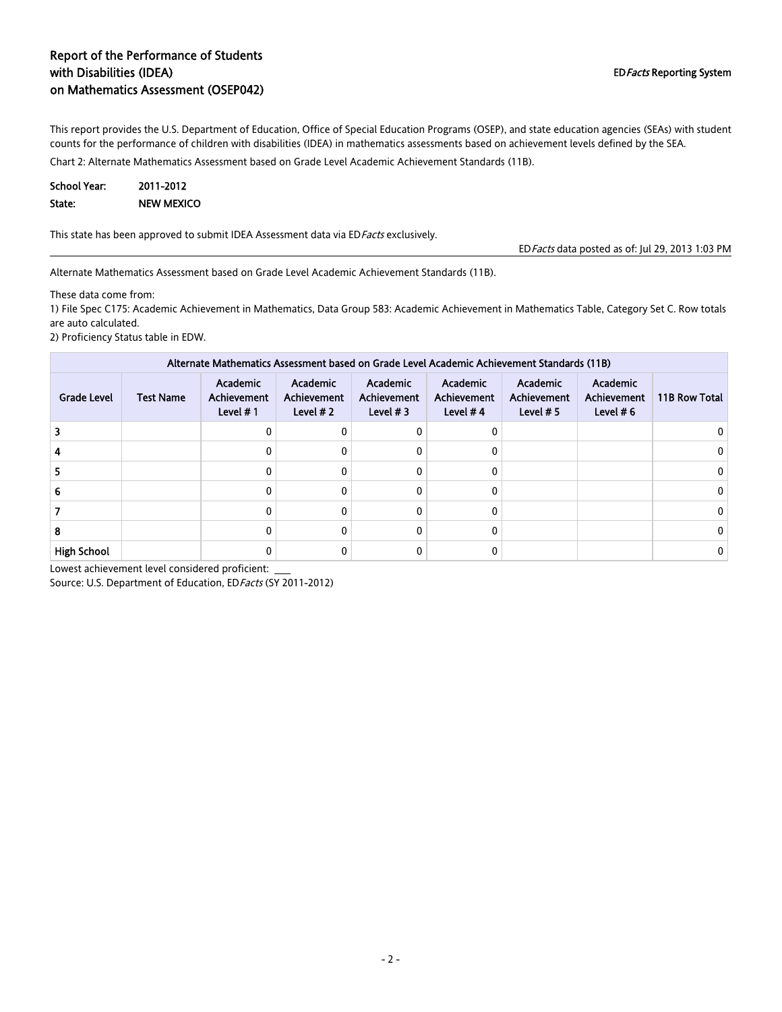#### Report of the Performance of Students with Disabilities (IDEA) on Mathematics Assessment (OSEP042)

This report provides the U.S. Department of Education, Office of Special Education Programs (OSEP), and state education agencies (SEAs) with student counts for the performance of children with disabilities (IDEA) in mathematics assessments based on achievement levels defined by the SEA.

Chart 2: Alternate Mathematics Assessment based on Grade Level Academic Achievement Standards (11B).

| School Year: | 2011-2012         |
|--------------|-------------------|
| State:       | <b>NEW MEXICO</b> |

This state has been approved to submit IDEA Assessment data via ED Facts exclusively.

EDFacts data posted as of: Jul 29, 2013 1:03 PM

Alternate Mathematics Assessment based on Grade Level Academic Achievement Standards (11B).

These data come from:

1) File Spec C175: Academic Achievement in Mathematics, Data Group 583: Academic Achievement in Mathematics Table, Category Set C. Row totals are auto calculated.

2) Proficiency Status table in EDW.

| Alternate Mathematics Assessment based on Grade Level Academic Achievement Standards (11B) |                  |                                               |                                       |                                       |                                              |                                        |                                               |               |
|--------------------------------------------------------------------------------------------|------------------|-----------------------------------------------|---------------------------------------|---------------------------------------|----------------------------------------------|----------------------------------------|-----------------------------------------------|---------------|
| <b>Grade Level</b>                                                                         | <b>Test Name</b> | Academic<br><b>Achievement</b><br>Level $# 1$ | Academic<br>Achievement<br>Level $#2$ | Academic<br>Achievement<br>Level $#3$ | Academic<br><b>Achievement</b><br>Level $#4$ | Academic<br>Achievement<br>Level $# 5$ | <b>Academic</b><br>Achievement<br>Level $# 6$ | 11B Row Total |
|                                                                                            |                  | Ω                                             | 0                                     | 0                                     |                                              |                                        |                                               |               |
|                                                                                            |                  | 0                                             | 0                                     | 0                                     |                                              |                                        |                                               |               |
|                                                                                            |                  |                                               | 0                                     | <sup>0</sup>                          |                                              |                                        |                                               |               |
|                                                                                            |                  | 0                                             | 0                                     | $\Omega$                              |                                              |                                        |                                               |               |
|                                                                                            |                  | 0                                             | 0                                     | 0                                     |                                              |                                        |                                               |               |
|                                                                                            |                  | 0                                             | 0                                     | $\Omega$                              |                                              |                                        |                                               |               |
| <b>High School</b>                                                                         |                  |                                               |                                       |                                       |                                              |                                        |                                               |               |

Lowest achievement level considered proficient: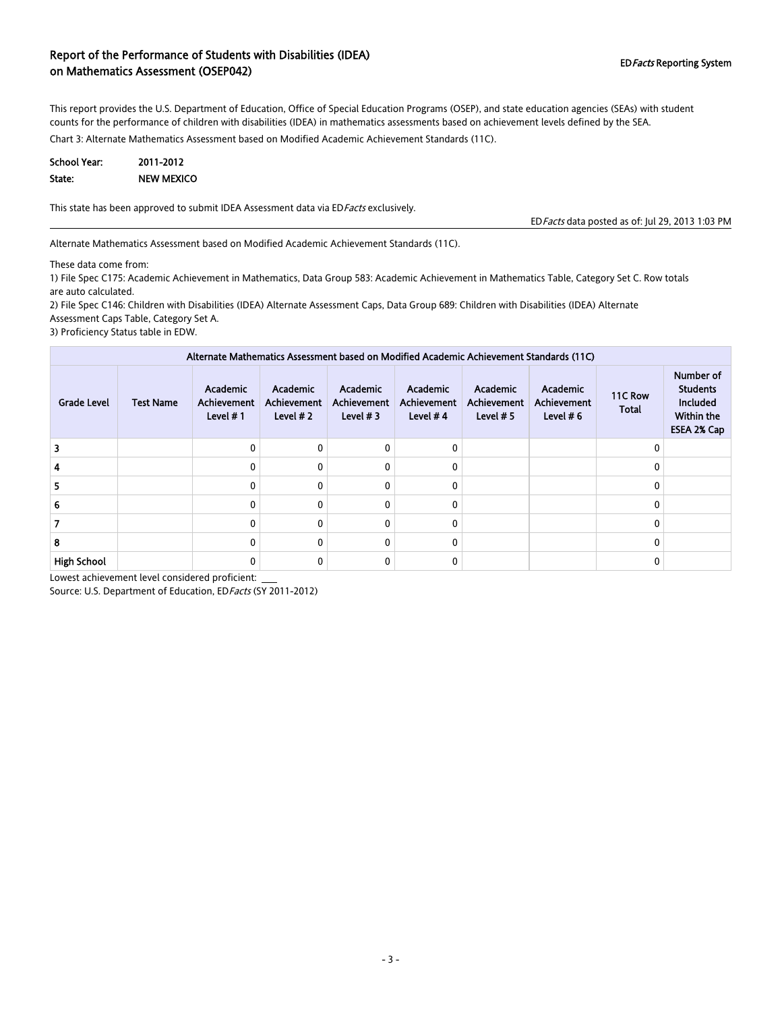#### Report of the Performance of Students with Disabilities (IDEA) on Mathematics Assessment (OSEP042) and Disabilities (IDER) extended the contraction of the contraction of Mathematics Assessment (OSEP042)

This report provides the U.S. Department of Education, Office of Special Education Programs (OSEP), and state education agencies (SEAs) with student counts for the performance of children with disabilities (IDEA) in mathematics assessments based on achievement levels defined by the SEA.

Chart 3: Alternate Mathematics Assessment based on Modified Academic Achievement Standards (11C).

| <b>School Year:</b> | 2011-2012         |
|---------------------|-------------------|
| State:              | <b>NEW MEXICO</b> |

This state has been approved to submit IDEA Assessment data via EDFacts exclusively.

EDFacts data posted as of: Jul 29, 2013 1:03 PM

Alternate Mathematics Assessment based on Modified Academic Achievement Standards (11C).

These data come from:

1) File Spec C175: Academic Achievement in Mathematics, Data Group 583: Academic Achievement in Mathematics Table, Category Set C. Row totals are auto calculated.

2) File Spec C146: Children with Disabilities (IDEA) Alternate Assessment Caps, Data Group 689: Children with Disabilities (IDEA) Alternate Assessment Caps Table, Category Set A.

3) Proficiency Status table in EDW.

| Alternate Mathematics Assessment based on Modified Academic Achievement Standards (11C) |                  |                                              |                                       |                                              |                                              |                                               |                                        |                         |                                                                                     |
|-----------------------------------------------------------------------------------------|------------------|----------------------------------------------|---------------------------------------|----------------------------------------------|----------------------------------------------|-----------------------------------------------|----------------------------------------|-------------------------|-------------------------------------------------------------------------------------|
| <b>Grade Level</b>                                                                      | <b>Test Name</b> | Academic<br><b>Achievement</b><br>Level $#1$ | Academic<br>Achievement<br>Level $#2$ | Academic<br><b>Achievement</b><br>Level $#3$ | Academic<br><b>Achievement</b><br>Level $#4$ | <b>Academic</b><br>Achievement<br>Level $# 5$ | Academic<br>Achievement<br>Level $# 6$ | 11C Row<br><b>Total</b> | Number of<br><b>Students</b><br><b>Included</b><br><b>Within the</b><br>ESEA 2% Cap |
|                                                                                         |                  | 0                                            | $\Omega$                              |                                              | 0                                            |                                               |                                        |                         |                                                                                     |
|                                                                                         |                  | 0                                            | 0                                     |                                              | 0                                            |                                               |                                        |                         |                                                                                     |
| 5                                                                                       |                  | $\mathbf{0}$                                 | $\Omega$                              |                                              | 0                                            |                                               |                                        |                         |                                                                                     |
|                                                                                         |                  | $\Omega$                                     | $\Omega$                              |                                              | 0                                            |                                               |                                        |                         |                                                                                     |
|                                                                                         |                  | 0                                            | $\Omega$                              |                                              | 0                                            |                                               |                                        |                         |                                                                                     |
| 8                                                                                       |                  | 0                                            | 0                                     |                                              | 0                                            |                                               |                                        |                         |                                                                                     |
| <b>High School</b>                                                                      |                  | 0                                            | 0                                     |                                              | 0                                            |                                               |                                        |                         |                                                                                     |

Lowest achievement level considered proficient: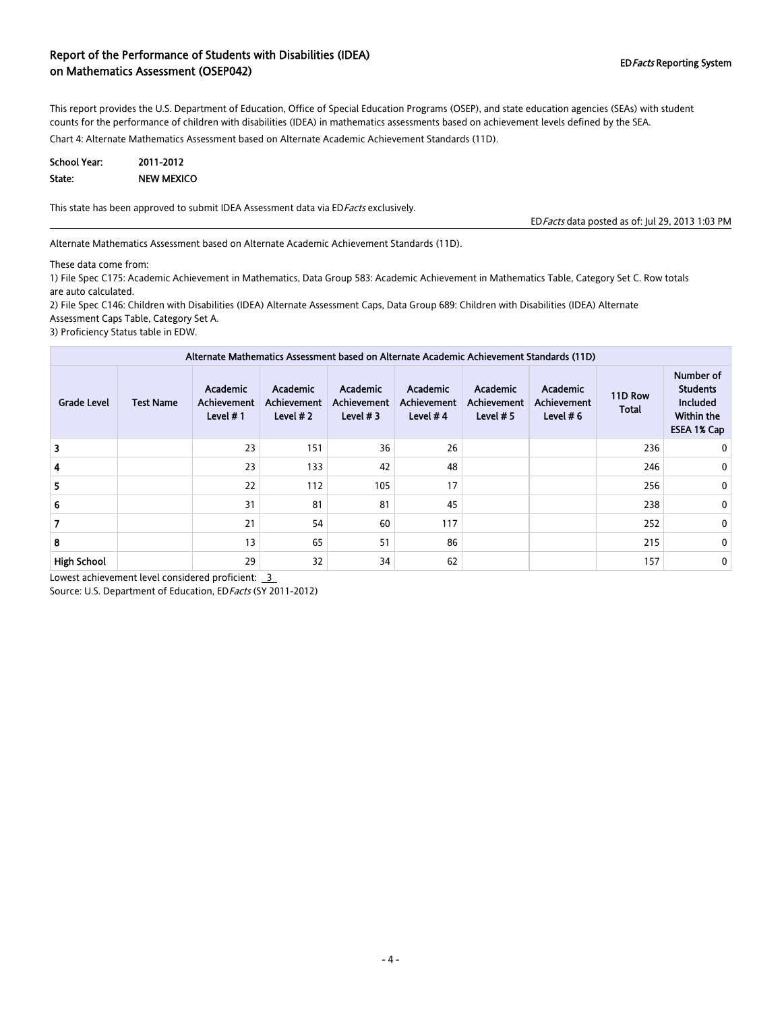#### Report of the Performance of Students with Disabilities (IDEA) on Mathematics Assessment (OSEP042) and Disabilities (IDD V and Disabilities Reporting System on Mathematics Assessment (OSEP042)

This report provides the U.S. Department of Education, Office of Special Education Programs (OSEP), and state education agencies (SEAs) with student counts for the performance of children with disabilities (IDEA) in mathematics assessments based on achievement levels defined by the SEA.

Chart 4: Alternate Mathematics Assessment based on Alternate Academic Achievement Standards (11D).

| <b>School Year:</b> | 2011-2012         |
|---------------------|-------------------|
| State:              | <b>NEW MEXICO</b> |

This state has been approved to submit IDEA Assessment data via EDFacts exclusively.

EDFacts data posted as of: Jul 29, 2013 1:03 PM

Alternate Mathematics Assessment based on Alternate Academic Achievement Standards (11D).

These data come from:

1) File Spec C175: Academic Achievement in Mathematics, Data Group 583: Academic Achievement in Mathematics Table, Category Set C. Row totals are auto calculated.

2) File Spec C146: Children with Disabilities (IDEA) Alternate Assessment Caps, Data Group 689: Children with Disabilities (IDEA) Alternate Assessment Caps Table, Category Set A.

3) Proficiency Status table in EDW.

|                    |                  |                                                     |                                                     |                                              |                                                     |                                        | Alternate Mathematics Assessment based on Alternate Academic Achievement Standards (11D) |                         |                                                                              |
|--------------------|------------------|-----------------------------------------------------|-----------------------------------------------------|----------------------------------------------|-----------------------------------------------------|----------------------------------------|------------------------------------------------------------------------------------------|-------------------------|------------------------------------------------------------------------------|
| <b>Grade Level</b> | <b>Test Name</b> | <b>Academic</b><br><b>Achievement</b><br>Level $#1$ | <b>Academic</b><br><b>Achievement</b><br>Level $#2$ | Academic<br><b>Achievement</b><br>Level $#3$ | <b>Academic</b><br><b>Achievement</b><br>Level $#4$ | Academic<br>Achievement<br>Level $# 5$ | Academic<br><b>Achievement</b><br>Level $# 6$                                            | 11D Row<br><b>Total</b> | Number of<br><b>Students</b><br><b>Included</b><br>Within the<br>ESEA 1% Cap |
|                    |                  | 23                                                  | 151                                                 | 36                                           | 26                                                  |                                        |                                                                                          | 236                     | 0                                                                            |
| 4                  |                  | 23                                                  | 133                                                 | 42                                           | 48                                                  |                                        |                                                                                          | 246                     | 0                                                                            |
| 5.                 |                  | 22                                                  | 112                                                 | 105                                          | 17                                                  |                                        |                                                                                          | 256                     | 0                                                                            |
|                    |                  | 31                                                  | 81                                                  | 81                                           | 45                                                  |                                        |                                                                                          | 238                     | 0                                                                            |
|                    |                  | 21                                                  | 54                                                  | 60                                           | 117                                                 |                                        |                                                                                          | 252                     | 0                                                                            |
| 8                  |                  | 13                                                  | 65                                                  | 51                                           | 86                                                  |                                        |                                                                                          | 215                     | 0                                                                            |
| <b>High School</b> |                  | 29                                                  | 32                                                  | 34                                           | 62                                                  |                                        |                                                                                          | 157                     | 0                                                                            |

Lowest achievement level considered proficient: 3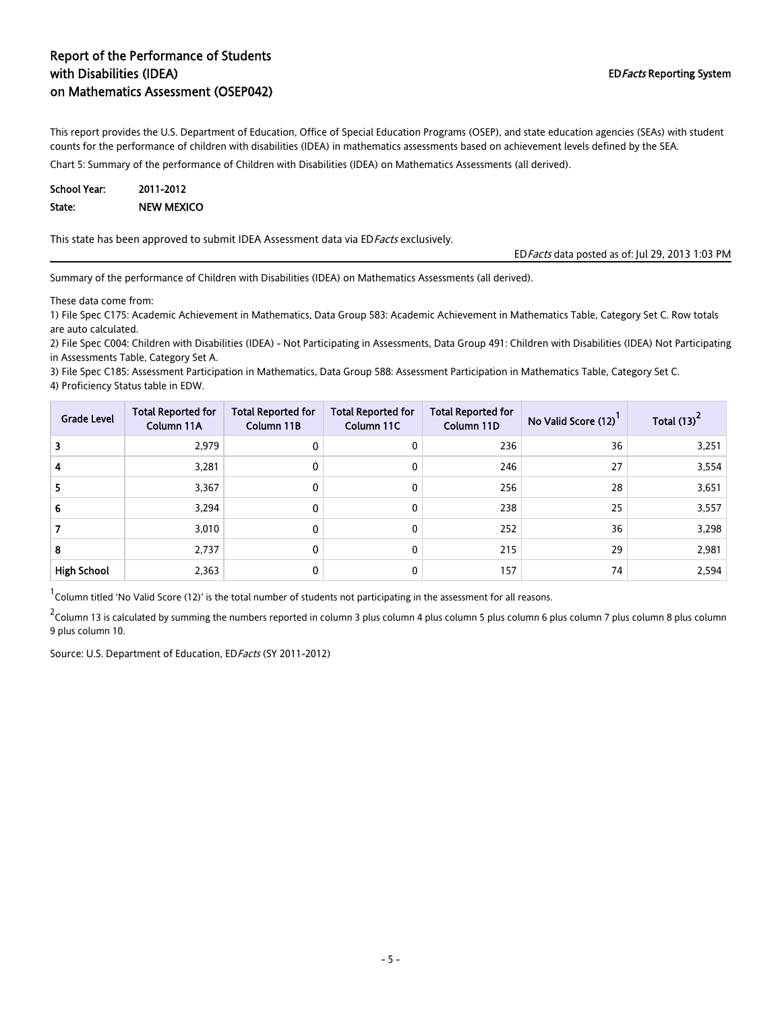### Report of the Performance of Students with Disabilities (IDEA) on Mathematics Assessment (OSEP042)

This report provides the U.S. Department of Education, Office of Special Education Programs (OSEP), and state education agencies (SEAs) with student counts for the performance of children with disabilities (IDEA) in mathematics assessments based on achievement levels defined by the SEA.

Chart 5: Summary of the performance of Children with Disabilities (IDEA) on Mathematics Assessments (all derived).

| <b>School Year:</b> | 2011-2012  |
|---------------------|------------|
| State:              | NEW MEXICO |

This state has been approved to submit IDEA Assessment data via ED Facts exclusively.

EDFacts data posted as of: Jul 29, 2013 1:03 PM

Summary of the performance of Children with Disabilities (IDEA) on Mathematics Assessments (all derived).

These data come from:

1) File Spec C175: Academic Achievement in Mathematics, Data Group 583: Academic Achievement in Mathematics Table, Category Set C. Row totals are auto calculated.

2) File Spec C004: Children with Disabilities (IDEA) - Not Participating in Assessments, Data Group 491: Children with Disabilities (IDEA) Not Participating in Assessments Table, Category Set A.

3) File Spec C185: Assessment Participation in Mathematics, Data Group 588: Assessment Participation in Mathematics Table, Category Set C. 4) Proficiency Status table in EDW.

| <b>Grade Level</b> | <b>Total Reported for</b><br>Column 11A | <b>Total Reported for</b><br>Column 11B | <b>Total Reported for</b><br>Column 11C | <b>Total Reported for</b><br>Column 11D | No Valid Score (12) | Total (13) |
|--------------------|-----------------------------------------|-----------------------------------------|-----------------------------------------|-----------------------------------------|---------------------|------------|
| 3                  | 2,979                                   | $\mathbf{0}$                            | 0                                       | 236                                     | 36                  | 3,251      |
| 4                  | 3,281                                   | 0                                       | 0                                       | 246                                     | 27                  | 3,554      |
| 5                  | 3,367                                   | 0                                       | 0                                       | 256                                     | 28                  | 3,651      |
| 6                  | 3.294                                   | 0                                       | 0                                       | 238                                     | 25                  | 3,557      |
|                    | 3,010                                   | 0                                       | 0                                       | 252                                     | 36                  | 3,298      |
| 8                  | 2,737                                   | 0                                       | 0                                       | 215                                     | 29                  | 2,981      |
| <b>High School</b> | 2,363                                   | 0                                       | 0                                       | 157                                     | 74                  | 2,594      |

<sup>1</sup> Column titled 'No Valid Score (12)' is the total number of students not participating in the assessment for all reasons.

<sup>2</sup> Column 13 is calculated by summing the numbers reported in column 3 plus column 5 plus column 6 plus colum 7 plus column 8 plus column 8 plus column 8 plus column 9 plus column 10.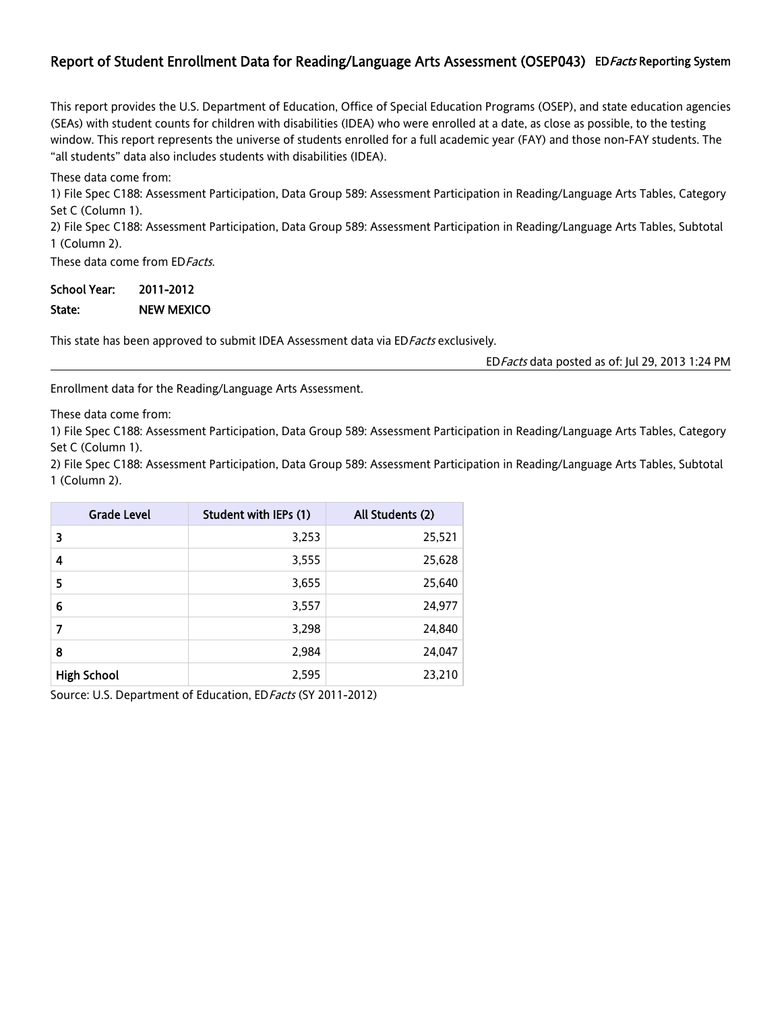## Report of Student Enrollment Data for Reading/Language Arts Assessment (OSEP043) ED Facts Reporting System

This report provides the U.S. Department of Education, Office of Special Education Programs (OSEP), and state education agencies (SEAs) with student counts for children with disabilities (IDEA) who were enrolled at a date, as close as possible, to the testing window. This report represents the universe of students enrolled for a full academic year (FAY) and those non-FAY students. The "all students" data also includes students with disabilities (IDEA).

These data come from:

1) File Spec C188: Assessment Participation, Data Group 589: Assessment Participation in Reading/Language Arts Tables, Category Set C (Column 1).

2) File Spec C188: Assessment Participation, Data Group 589: Assessment Participation in Reading/Language Arts Tables, Subtotal 1 (Column 2).

These data come from ED Facts.

### School Year: 2011-2012 State: NEW MEXICO

This state has been approved to submit IDEA Assessment data via ED Facts exclusively.

EDFacts data posted as of: Jul 29, 2013 1:24 PM

Enrollment data for the Reading/Language Arts Assessment.

These data come from:

1) File Spec C188: Assessment Participation, Data Group 589: Assessment Participation in Reading/Language Arts Tables, Category Set C (Column 1).

2) File Spec C188: Assessment Participation, Data Group 589: Assessment Participation in Reading/Language Arts Tables, Subtotal 1 (Column 2).

| <b>Grade Level</b> | Student with IEPs (1) | All Students (2) |
|--------------------|-----------------------|------------------|
| 3                  | 3,253                 | 25,521           |
| 4                  | 3,555                 | 25,628           |
| 5                  | 3,655                 | 25,640           |
| 6                  | 3,557                 | 24,977           |
| 7                  | 3,298                 | 24,840           |
| 8                  | 2,984                 | 24,047           |
| <b>High School</b> | 2,595                 | 23,210           |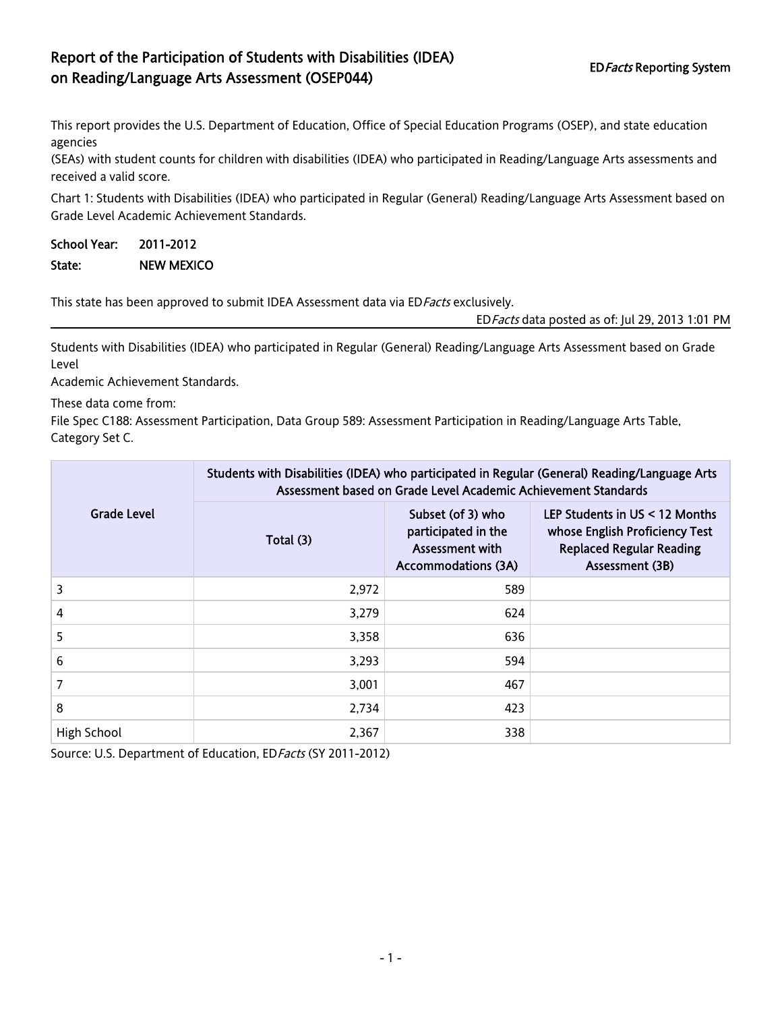# Report of the Participation of Students with Disabilities (IDEA) on Reading/Language Arts Assessment (OSEP044) EDFacts Reporting System

This report provides the U.S. Department of Education, Office of Special Education Programs (OSEP), and state education agencies

(SEAs) with student counts for children with disabilities (IDEA) who participated in Reading/Language Arts assessments and received a valid score.

Chart 1: Students with Disabilities (IDEA) who participated in Regular (General) Reading/Language Arts Assessment based on Grade Level Academic Achievement Standards.

## School Year: 2011-2012 State: NEW MEXICO

This state has been approved to submit IDEA Assessment data via ED Facts exclusively.

EDFacts data posted as of: Jul 29, 2013 1:01 PM

Students with Disabilities (IDEA) who participated in Regular (General) Reading/Language Arts Assessment based on Grade Level

Academic Achievement Standards.

These data come from:

File Spec C188: Assessment Participation, Data Group 589: Assessment Participation in Reading/Language Arts Table, Category Set C.

|             | Students with Disabilities (IDEA) who participated in Regular (General) Reading/Language Arts<br>Assessment based on Grade Level Academic Achievement Standards |                                                                                           |                                                                                                                        |  |  |  |
|-------------|-----------------------------------------------------------------------------------------------------------------------------------------------------------------|-------------------------------------------------------------------------------------------|------------------------------------------------------------------------------------------------------------------------|--|--|--|
| Grade Level | Total (3)                                                                                                                                                       | Subset (of 3) who<br>participated in the<br>Assessment with<br><b>Accommodations (3A)</b> | LEP Students in US < 12 Months<br>whose English Proficiency Test<br><b>Replaced Regular Reading</b><br>Assessment (3B) |  |  |  |
| 3           | 2,972                                                                                                                                                           | 589                                                                                       |                                                                                                                        |  |  |  |
| 4           | 3,279                                                                                                                                                           | 624                                                                                       |                                                                                                                        |  |  |  |
| 5           | 3,358                                                                                                                                                           | 636                                                                                       |                                                                                                                        |  |  |  |
| 6           | 3,293                                                                                                                                                           | 594                                                                                       |                                                                                                                        |  |  |  |
| 7           | 3,001                                                                                                                                                           | 467                                                                                       |                                                                                                                        |  |  |  |
| 8           | 2,734                                                                                                                                                           | 423                                                                                       |                                                                                                                        |  |  |  |
| High School | 2,367                                                                                                                                                           | 338                                                                                       |                                                                                                                        |  |  |  |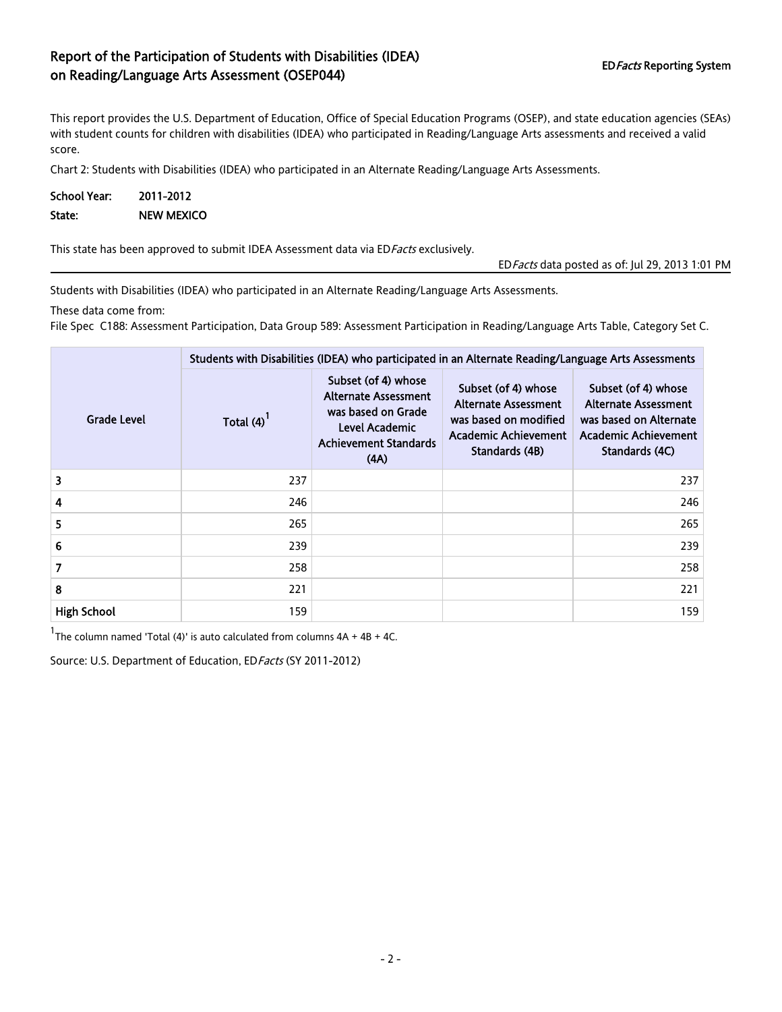## Report of the Participation of Students with Disabilities (IDEA) on Reading/Language Arts Assessment (OSEP044) EDFacts Reporting System EDFacts Reporting System

This report provides the U.S. Department of Education, Office of Special Education Programs (OSEP), and state education agencies (SEAs) with student counts for children with disabilities (IDEA) who participated in Reading/Language Arts assessments and received a valid score.

Chart 2: Students with Disabilities (IDEA) who participated in an Alternate Reading/Language Arts Assessments.

| <b>School Year:</b> | 2011-2012         |
|---------------------|-------------------|
| State:              | <b>NEW MEXICO</b> |

This state has been approved to submit IDEA Assessment data via ED Facts exclusively.

EDFacts data posted as of: Jul 29, 2013 1:01 PM

Students with Disabilities (IDEA) who participated in an Alternate Reading/Language Arts Assessments.

These data come from:

File Spec C188: Assessment Participation, Data Group 589: Assessment Participation in Reading/Language Arts Table, Category Set C.

|                    |             | Students with Disabilities (IDEA) who participated in an Alternate Reading/Language Arts Assessments                               |                                                                                                                       |                                                                                                                               |  |  |  |  |
|--------------------|-------------|------------------------------------------------------------------------------------------------------------------------------------|-----------------------------------------------------------------------------------------------------------------------|-------------------------------------------------------------------------------------------------------------------------------|--|--|--|--|
| Grade Level        | Total $(4)$ | Subset (of 4) whose<br><b>Alternate Assessment</b><br>was based on Grade<br>Level Academic<br><b>Achievement Standards</b><br>(AA) | Subset (of 4) whose<br>Alternate Assessment<br>was based on modified<br><b>Academic Achievement</b><br>Standards (4B) | Subset (of 4) whose<br><b>Alternate Assessment</b><br>was based on Alternate<br><b>Academic Achievement</b><br>Standards (4C) |  |  |  |  |
| 3                  | 237         |                                                                                                                                    |                                                                                                                       | 237                                                                                                                           |  |  |  |  |
| 4                  | 246         |                                                                                                                                    |                                                                                                                       | 246                                                                                                                           |  |  |  |  |
| 5                  | 265         |                                                                                                                                    |                                                                                                                       | 265                                                                                                                           |  |  |  |  |
| 6                  | 239         |                                                                                                                                    |                                                                                                                       | 239                                                                                                                           |  |  |  |  |
| 7                  | 258         |                                                                                                                                    |                                                                                                                       | 258                                                                                                                           |  |  |  |  |
| 8                  | 221         |                                                                                                                                    |                                                                                                                       | 221                                                                                                                           |  |  |  |  |
| <b>High School</b> | 159         |                                                                                                                                    |                                                                                                                       | 159                                                                                                                           |  |  |  |  |

 $1$ The column named 'Total (4)' is auto calculated from columns  $4A + 4B + 4C$ .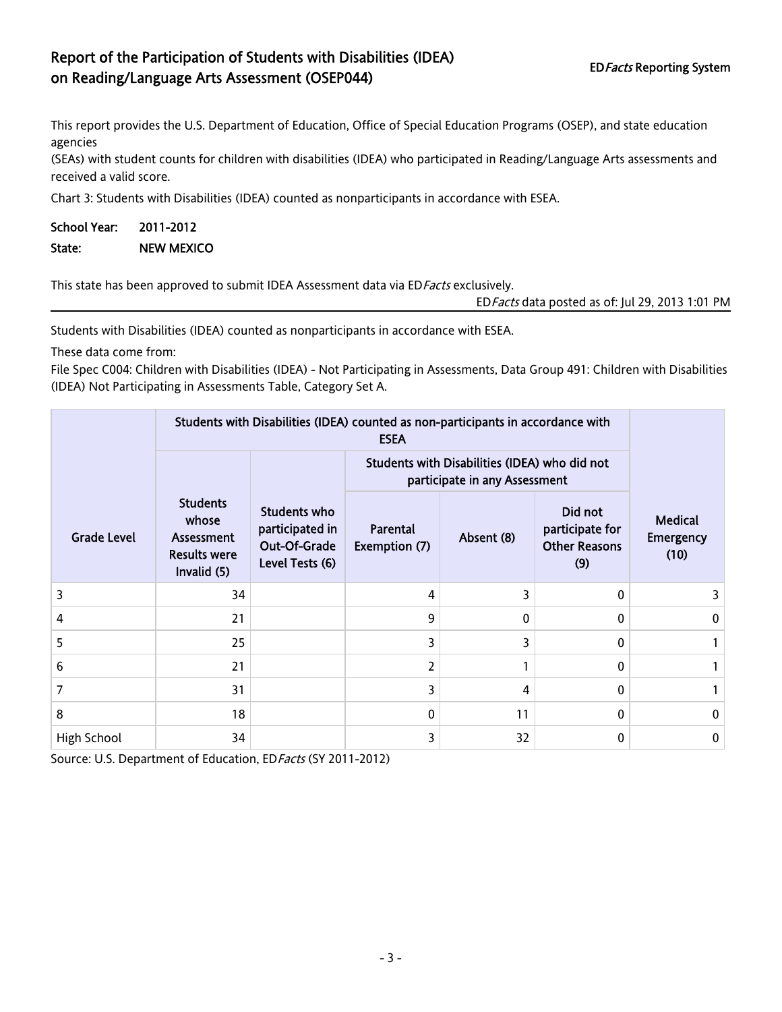# Report of the Participation of Students with Disabilities (IDEA) on Reading/Language Arts Assessment (OSEP044) EDFacts Reporting System

This report provides the U.S. Department of Education, Office of Special Education Programs (OSEP), and state education agencies

(SEAs) with student counts for children with disabilities (IDEA) who participated in Reading/Language Arts assessments and received a valid score.

Chart 3: Students with Disabilities (IDEA) counted as nonparticipants in accordance with ESEA.

| School Year: | 2011-2012         |
|--------------|-------------------|
| State:       | <b>NEW MEXICO</b> |

This state has been approved to submit IDEA Assessment data via ED Facts exclusively.

EDFacts data posted as of: Jul 29, 2013 1:01 PM

Students with Disabilities (IDEA) counted as nonparticipants in accordance with ESEA.

These data come from:

File Spec C004: Children with Disabilities (IDEA) - Not Participating in Assessments, Data Group 491: Children with Disabilities (IDEA) Not Participating in Assessments Table, Category Set A.

|                    | Students with Disabilities (IDEA) counted as non-participants in accordance with |                                                                    |                           |                                                                                |                                                           |                                            |  |  |
|--------------------|----------------------------------------------------------------------------------|--------------------------------------------------------------------|---------------------------|--------------------------------------------------------------------------------|-----------------------------------------------------------|--------------------------------------------|--|--|
|                    |                                                                                  |                                                                    |                           | Students with Disabilities (IDEA) who did not<br>participate in any Assessment |                                                           |                                            |  |  |
| <b>Grade Level</b> | <b>Students</b><br>whose<br>Assessment<br><b>Results were</b><br>Invalid (5)     | Students who<br>participated in<br>Out-Of-Grade<br>Level Tests (6) | Parental<br>Exemption (7) | Absent (8)                                                                     | Did not<br>participate for<br><b>Other Reasons</b><br>(9) | <b>Medical</b><br><b>Emergency</b><br>(10) |  |  |
| 3                  | 34                                                                               |                                                                    | 4                         | 3                                                                              | $\Omega$                                                  |                                            |  |  |
| 4                  | 21                                                                               |                                                                    | 9                         | $\Omega$                                                                       | 0                                                         | $\mathbf{0}$                               |  |  |
| 5                  | 25                                                                               |                                                                    | 3                         | 3                                                                              | $\Omega$                                                  |                                            |  |  |
| 6                  | 21                                                                               |                                                                    | 2                         |                                                                                | $\Omega$                                                  |                                            |  |  |
| 7                  | 31                                                                               |                                                                    | 3                         | 4                                                                              | $\Omega$                                                  |                                            |  |  |
| 8                  | 18                                                                               |                                                                    | 0                         | 11                                                                             | $\Omega$                                                  | $\mathbf{0}$                               |  |  |
| High School        | 34                                                                               |                                                                    | 3                         | 32                                                                             | $\Omega$                                                  | 0                                          |  |  |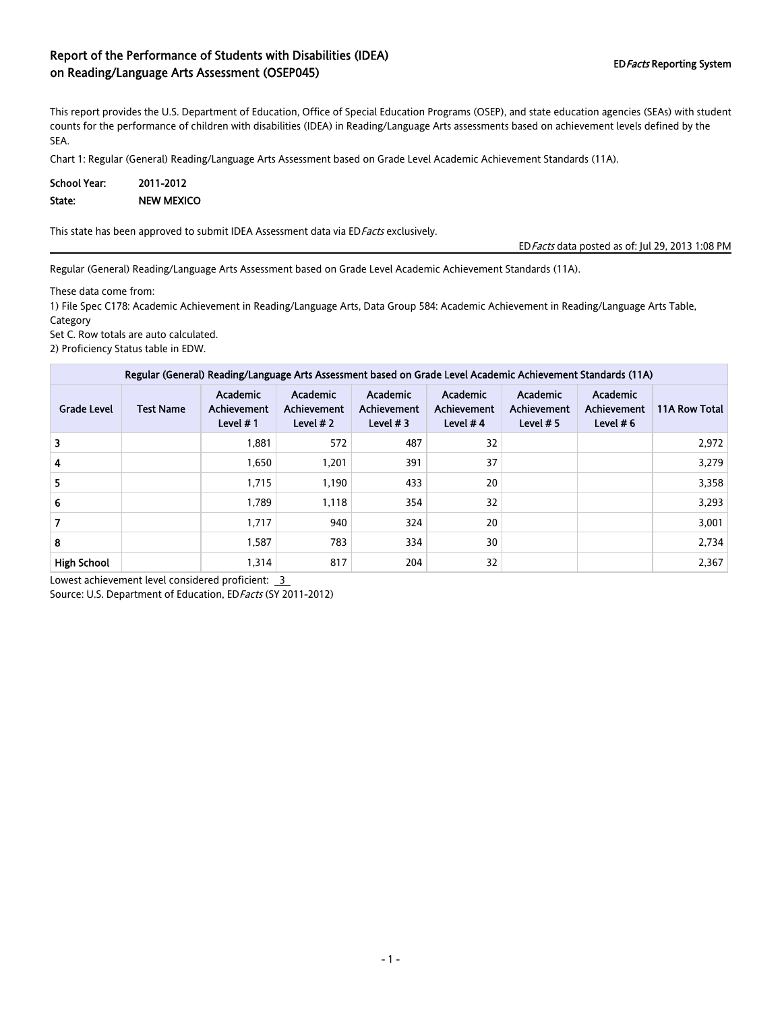### Report of the Performance of Students with Disabilities (IDEA) on Reading/Language Arts Assessment (OSEP045)

This report provides the U.S. Department of Education, Office of Special Education Programs (OSEP), and state education agencies (SEAs) with student counts for the performance of children with disabilities (IDEA) in Reading/Language Arts assessments based on achievement levels defined by the SEA.

Chart 1: Regular (General) Reading/Language Arts Assessment based on Grade Level Academic Achievement Standards (11A).

| School Year: | 2011-2012         |
|--------------|-------------------|
| State:       | <b>NEW MEXICO</b> |

This state has been approved to submit IDEA Assessment data via EDFacts exclusively.

EDFacts data posted as of: Jul 29, 2013 1:08 PM

Regular (General) Reading/Language Arts Assessment based on Grade Level Academic Achievement Standards (11A).

These data come from:

1) File Spec C178: Academic Achievement in Reading/Language Arts, Data Group 584: Academic Achievement in Reading/Language Arts Table, Category

Set C. Row totals are auto calculated.

2) Proficiency Status table in EDW.

| Regular (General) Reading/Language Arts Assessment based on Grade Level Academic Achievement Standards (11A) |                  |                                               |                                              |                                              |                                              |                                               |                                               |                      |
|--------------------------------------------------------------------------------------------------------------|------------------|-----------------------------------------------|----------------------------------------------|----------------------------------------------|----------------------------------------------|-----------------------------------------------|-----------------------------------------------|----------------------|
| <b>Grade Level</b>                                                                                           | <b>Test Name</b> | Academic<br><b>Achievement</b><br>Level $# 1$ | <b>Academic</b><br>Achievement<br>Level $#2$ | Academic<br><b>Achievement</b><br>Level $#3$ | Academic<br><b>Achievement</b><br>Level $#4$ | Academic<br><b>Achievement</b><br>Level $# 5$ | <b>Academic</b><br>Achievement<br>Level $# 6$ | <b>11A Row Total</b> |
| 3                                                                                                            |                  | 1,881                                         | 572                                          | 487                                          | 32                                           |                                               |                                               | 2,972                |
| 4                                                                                                            |                  | 1,650                                         | 1,201                                        | 391                                          | 37                                           |                                               |                                               | 3,279                |
| 5                                                                                                            |                  | 1,715                                         | 1,190                                        | 433                                          | 20                                           |                                               |                                               | 3,358                |
| 6                                                                                                            |                  | 1.789                                         | 1.118                                        | 354                                          | 32                                           |                                               |                                               | 3,293                |
|                                                                                                              |                  | 1,717                                         | 940                                          | 324                                          | 20                                           |                                               |                                               | 3,001                |
| 8                                                                                                            |                  | 1,587                                         | 783                                          | 334                                          | 30                                           |                                               |                                               | 2,734                |
| <b>High School</b>                                                                                           |                  | 1,314                                         | 817                                          | 204                                          | 32                                           |                                               |                                               | 2,367                |

Lowest achievement level considered proficient: 3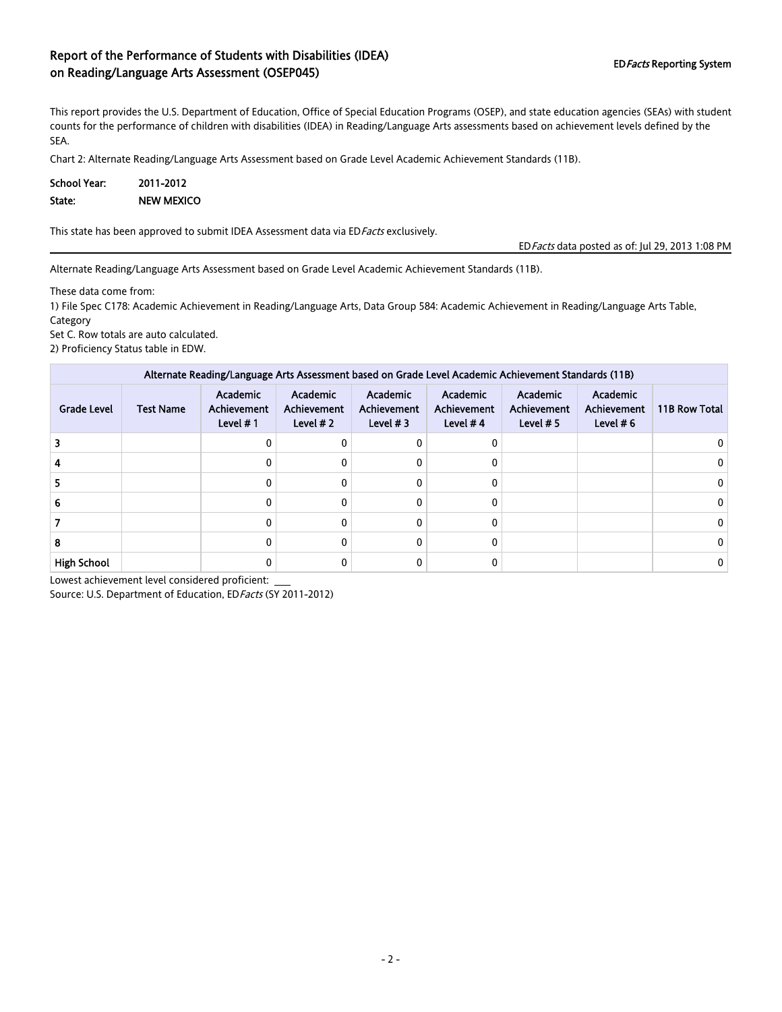### Report of the Performance of Students with Disabilities (IDEA) on Reading/Language Arts Assessment (OSEP045)

This report provides the U.S. Department of Education, Office of Special Education Programs (OSEP), and state education agencies (SEAs) with student counts for the performance of children with disabilities (IDEA) in Reading/Language Arts assessments based on achievement levels defined by the SEA.

Chart 2: Alternate Reading/Language Arts Assessment based on Grade Level Academic Achievement Standards (11B).

| School Year: | 2011-2012         |
|--------------|-------------------|
| State:       | <b>NEW MEXICO</b> |

This state has been approved to submit IDEA Assessment data via EDFacts exclusively.

EDFacts data posted as of: Jul 29, 2013 1:08 PM

Alternate Reading/Language Arts Assessment based on Grade Level Academic Achievement Standards (11B).

These data come from:

1) File Spec C178: Academic Achievement in Reading/Language Arts, Data Group 584: Academic Achievement in Reading/Language Arts Table, Category

Set C. Row totals are auto calculated.

2) Proficiency Status table in EDW.

| Alternate Reading/Language Arts Assessment based on Grade Level Academic Achievement Standards (11B) |                  |                                        |                                              |                                              |                                                     |                                        |                                                      |               |  |  |
|------------------------------------------------------------------------------------------------------|------------------|----------------------------------------|----------------------------------------------|----------------------------------------------|-----------------------------------------------------|----------------------------------------|------------------------------------------------------|---------------|--|--|
| <b>Grade Level</b>                                                                                   | <b>Test Name</b> | Academic<br>Achievement<br>Level $# 1$ | <b>Academic</b><br>Achievement<br>Level $#2$ | Academic<br><b>Achievement</b><br>Level $#3$ | <b>Academic</b><br><b>Achievement</b><br>Level $#4$ | Academic<br>Achievement<br>Level $# 5$ | <b>Academic</b><br><b>Achievement</b><br>Level $# 6$ | 11B Row Total |  |  |
|                                                                                                      |                  | 0                                      |                                              |                                              |                                                     |                                        |                                                      | U             |  |  |
|                                                                                                      |                  | 0                                      | 0                                            |                                              |                                                     |                                        |                                                      | 0             |  |  |
|                                                                                                      |                  | 0                                      | 0                                            |                                              |                                                     |                                        |                                                      | 0             |  |  |
| 6                                                                                                    |                  | 0                                      | 0                                            |                                              |                                                     |                                        |                                                      | 0             |  |  |
|                                                                                                      |                  | 0                                      | 0                                            |                                              |                                                     |                                        |                                                      | 0             |  |  |
| 8                                                                                                    |                  | 0                                      | 0                                            |                                              |                                                     |                                        |                                                      | 0             |  |  |
| <b>High School</b>                                                                                   |                  | 0                                      |                                              |                                              |                                                     |                                        |                                                      | 0             |  |  |

Lowest achievement level considered proficient: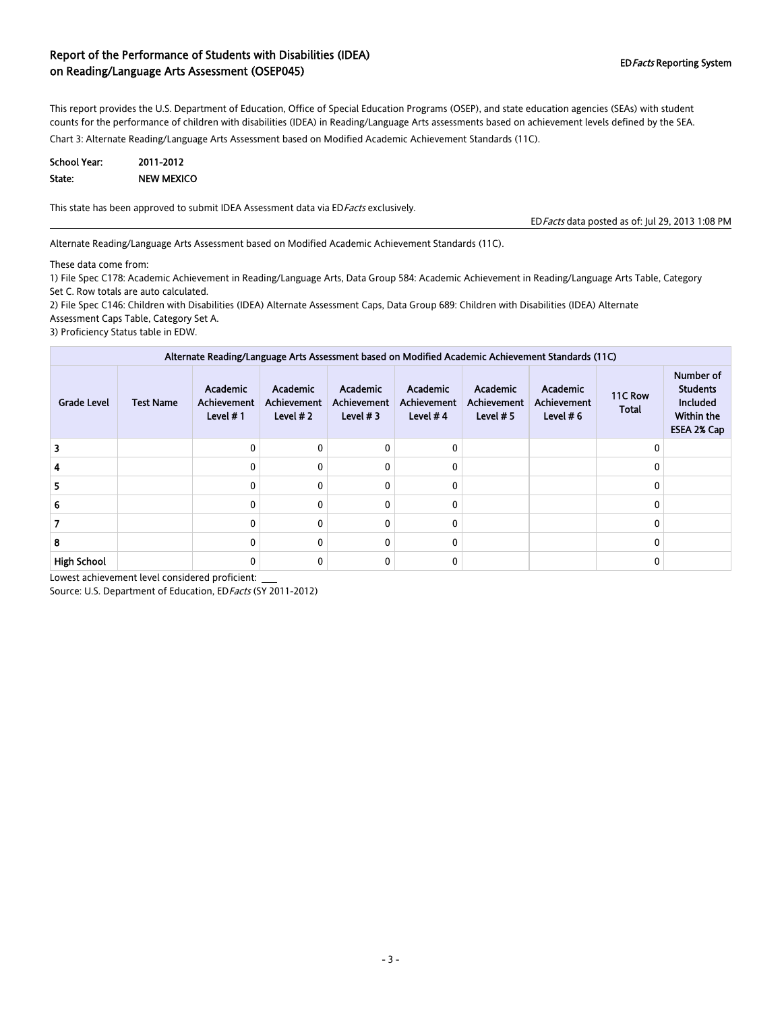#### Report of the Performance of Students with Disabilities (IDEA) on Reading/Language Arts Assessment (OSEP045) EDFacts Reporting System and Reading/Language Arts Assessment (OSEP045)

This report provides the U.S. Department of Education, Office of Special Education Programs (OSEP), and state education agencies (SEAs) with student counts for the performance of children with disabilities (IDEA) in Reading/Language Arts assessments based on achievement levels defined by the SEA.

Chart 3: Alternate Reading/Language Arts Assessment based on Modified Academic Achievement Standards (11C).

| <b>School Year:</b> | 2011-2012         |
|---------------------|-------------------|
| State:              | <b>NEW MEXICO</b> |

This state has been approved to submit IDEA Assessment data via EDFacts exclusively.

EDFacts data posted as of: Jul 29, 2013 1:08 PM

Alternate Reading/Language Arts Assessment based on Modified Academic Achievement Standards (11C).

These data come from:

1) File Spec C178: Academic Achievement in Reading/Language Arts, Data Group 584: Academic Achievement in Reading/Language Arts Table, Category Set C. Row totals are auto calculated.

2) File Spec C146: Children with Disabilities (IDEA) Alternate Assessment Caps, Data Group 689: Children with Disabilities (IDEA) Alternate Assessment Caps Table, Category Set A.

3) Proficiency Status table in EDW.

| Alternate Reading/Language Arts Assessment based on Modified Academic Achievement Standards (11C) |                  |                                              |                                       |                                       |                                              |                                        |                                        |                         |                                                                                     |  |
|---------------------------------------------------------------------------------------------------|------------------|----------------------------------------------|---------------------------------------|---------------------------------------|----------------------------------------------|----------------------------------------|----------------------------------------|-------------------------|-------------------------------------------------------------------------------------|--|
| <b>Grade Level</b>                                                                                | <b>Test Name</b> | Academic<br><b>Achievement</b><br>Level $#1$ | Academic<br>Achievement<br>Level $#2$ | Academic<br>Achievement<br>Level $#3$ | Academic<br><b>Achievement</b><br>Level $#4$ | Academic<br>Achievement<br>Level $# 5$ | Academic<br>Achievement<br>Level $# 6$ | 11C Row<br><b>Total</b> | Number of<br><b>Students</b><br><b>Included</b><br><b>Within the</b><br>ESEA 2% Cap |  |
|                                                                                                   |                  | 0                                            | 0                                     |                                       | 0                                            |                                        |                                        |                         |                                                                                     |  |
|                                                                                                   |                  | 0                                            | $\Omega$                              |                                       | 0                                            |                                        |                                        |                         |                                                                                     |  |
|                                                                                                   |                  | O                                            | $\Omega$                              |                                       | 0                                            |                                        |                                        |                         |                                                                                     |  |
|                                                                                                   |                  | $\Omega$                                     | $\Omega$                              |                                       | 0                                            |                                        |                                        |                         |                                                                                     |  |
|                                                                                                   |                  |                                              | $\Omega$                              |                                       | 0                                            |                                        |                                        |                         |                                                                                     |  |
| 8                                                                                                 |                  | 0                                            | $\Omega$                              |                                       | 0                                            |                                        |                                        |                         |                                                                                     |  |
| <b>High School</b>                                                                                |                  | 0                                            | $\Omega$                              |                                       | 0                                            |                                        |                                        |                         |                                                                                     |  |

Lowest achievement level considered proficient: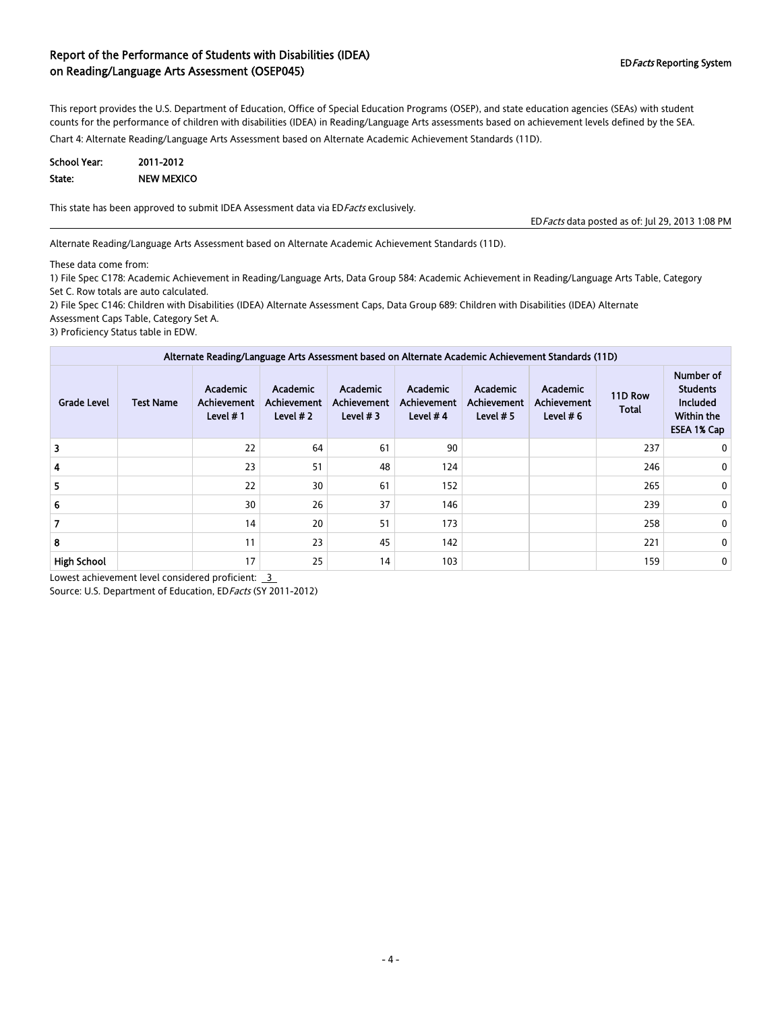#### Report of the Performance of Students with Disabilities (IDEA) on Reading/Language Arts Assessment (OSEP045) EDFacts Reporting System and Reading/Language Arts Assessment (OSEP045)

This report provides the U.S. Department of Education, Office of Special Education Programs (OSEP), and state education agencies (SEAs) with student counts for the performance of children with disabilities (IDEA) in Reading/Language Arts assessments based on achievement levels defined by the SEA.

Chart 4: Alternate Reading/Language Arts Assessment based on Alternate Academic Achievement Standards (11D).

| <b>School Year:</b> | 2011-2012         |
|---------------------|-------------------|
| State:              | <b>NEW MEXICO</b> |

This state has been approved to submit IDEA Assessment data via EDFacts exclusively.

EDFacts data posted as of: Jul 29, 2013 1:08 PM

Alternate Reading/Language Arts Assessment based on Alternate Academic Achievement Standards (11D).

These data come from:

1) File Spec C178: Academic Achievement in Reading/Language Arts, Data Group 584: Academic Achievement in Reading/Language Arts Table, Category Set C. Row totals are auto calculated.

2) File Spec C146: Children with Disabilities (IDEA) Alternate Assessment Caps, Data Group 689: Children with Disabilities (IDEA) Alternate Assessment Caps Table, Category Set A.

3) Proficiency Status table in EDW.

| Alternate Reading/Language Arts Assessment based on Alternate Academic Achievement Standards (11D) |                  |                                               |                                                     |                                       |                                              |                                               |                                        |                         |                                                                              |  |  |
|----------------------------------------------------------------------------------------------------|------------------|-----------------------------------------------|-----------------------------------------------------|---------------------------------------|----------------------------------------------|-----------------------------------------------|----------------------------------------|-------------------------|------------------------------------------------------------------------------|--|--|
| <b>Grade Level</b>                                                                                 | <b>Test Name</b> | Academic<br><b>Achievement</b><br>Level $# 1$ | <b>Academic</b><br><b>Achievement</b><br>Level $#2$ | Academic<br>Achievement<br>Level $#3$ | Academic<br><b>Achievement</b><br>Level $#4$ | <b>Academic</b><br>Achievement<br>Level $# 5$ | Academic<br>Achievement<br>Level $# 6$ | 11D Row<br><b>Total</b> | Number of<br><b>Students</b><br><b>Included</b><br>Within the<br>ESEA 1% Cap |  |  |
| 3                                                                                                  |                  | 22                                            | 64                                                  | 61                                    | 90                                           |                                               |                                        | 237                     | 0                                                                            |  |  |
| 4                                                                                                  |                  | 23                                            | 51                                                  | 48                                    | 124                                          |                                               |                                        | 246                     | 0                                                                            |  |  |
| 5.                                                                                                 |                  | 22                                            | 30                                                  | 61                                    | 152                                          |                                               |                                        | 265                     | 0                                                                            |  |  |
| 6                                                                                                  |                  | 30                                            | 26                                                  | 37                                    | 146                                          |                                               |                                        | 239                     | 0                                                                            |  |  |
|                                                                                                    |                  | 14                                            | 20                                                  | 51                                    | 173                                          |                                               |                                        | 258                     | 0                                                                            |  |  |
| 8                                                                                                  |                  | 11                                            | 23                                                  | 45                                    | 142                                          |                                               |                                        | 221                     | 0                                                                            |  |  |
| <b>High School</b>                                                                                 |                  | 17                                            | 25                                                  | 14                                    | 103                                          |                                               |                                        | 159                     | 0                                                                            |  |  |

Lowest achievement level considered proficient: 3